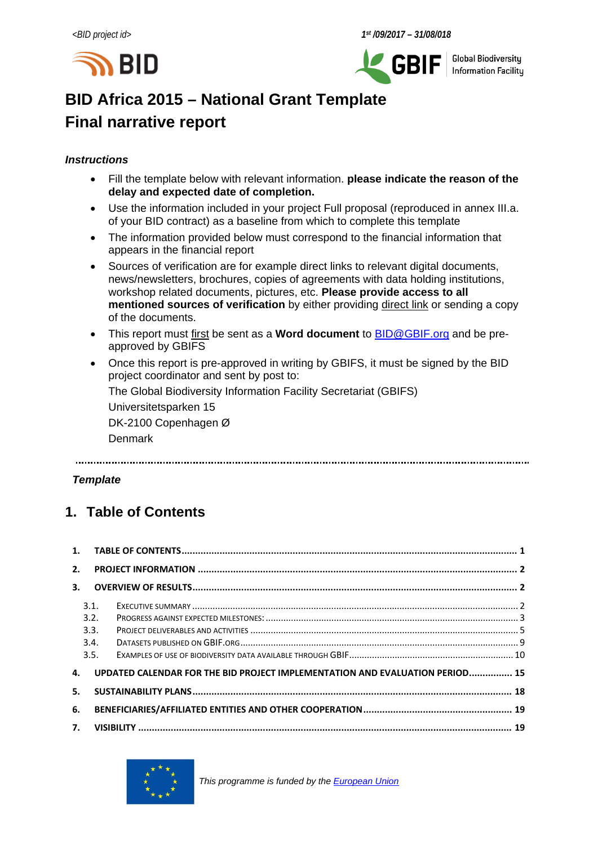



**Global Biodiversity** Information Facilitu

# **BID Africa 2015 – National Grant Template Final narrative report**

### *Instructions*

- Fill the template below with relevant information. **please indicate the reason of the delay and expected date of completion.**
- Use the information included in your project Full proposal (reproduced in annex III.a. of your BID contract) as a baseline from which to complete this template
- The information provided below must correspond to the financial information that appears in the financial report
- Sources of verification are for example direct links to relevant digital documents, news/newsletters, brochures, copies of agreements with data holding institutions, workshop related documents, pictures, etc. **Please provide access to all mentioned sources of verification** by either providing direct link or sending a copy of the documents.
- This report must first be sent as a **Word document** to [BID@GBIF.org](mailto:BID@GBIF.org) and be preapproved by GBIFS
- Once this report is pre-approved in writing by GBIFS, it must be signed by the BID project coordinator and sent by post to:

The Global Biodiversity Information Facility Secretariat (GBIFS)

Universitetsparken 15

DK-2100 Copenhagen Ø Denmark

### *Template*

# <span id="page-0-0"></span>**1. Table of Contents**

| 2. |      |                                                                              |  |
|----|------|------------------------------------------------------------------------------|--|
| 3. |      |                                                                              |  |
|    | 3.1. |                                                                              |  |
|    | 3.2. |                                                                              |  |
|    | 3.3. |                                                                              |  |
|    | 3.4. |                                                                              |  |
|    | 3.5. |                                                                              |  |
| 4. |      | UPDATED CALENDAR FOR THE BID PROJECT IMPLEMENTATION AND EVALUATION PERIOD 15 |  |
| 5. |      |                                                                              |  |
| 6. |      |                                                                              |  |
|    |      |                                                                              |  |

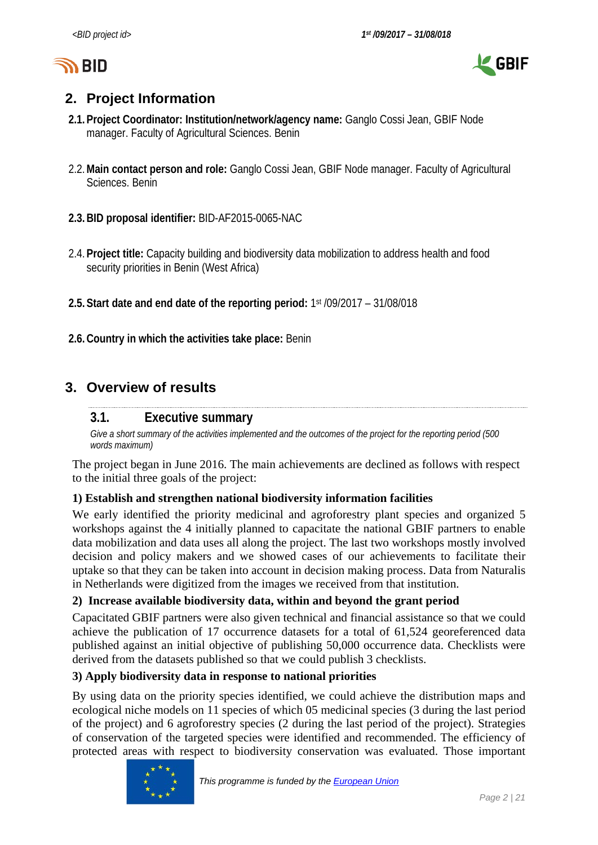



# <span id="page-1-0"></span>**2. Project Information**

- **2.1.Project Coordinator: Institution/network/agency name:** Ganglo Cossi Jean, GBIF Node manager. Faculty of Agricultural Sciences. Benin
- 2.2.**Main contact person and role:** Ganglo Cossi Jean, GBIF Node manager. Faculty of Agricultural Sciences. Benin
- **2.3.BID proposal identifier:** BID-AF2015-0065-NAC
- 2.4.**Project title:** Capacity building and biodiversity data mobilization to address health and food security priorities in Benin (West Africa)
- **2.5.Start date and end date of the reporting period:** 1st /09/2017 31/08/018
- **2.6.Country in which the activities take place:** Benin

# <span id="page-1-2"></span><span id="page-1-1"></span>**3. Overview of results**

## **3.1. Executive summary**

Give a short summary of the activities implemented and the outcomes of the project for the *reporting period* (500 *words maximum)*

The project began in June 2016. The main achievements are declined as follows with respect to the initial three goals of the project:

## **1) Establish and strengthen national biodiversity information facilities**

We early identified the priority medicinal and agroforestry plant species and organized 5 workshops against the 4 initially planned to capacitate the national GBIF partners to enable data mobilization and data uses all along the project. The last two workshops mostly involved decision and policy makers and we showed cases of our achievements to facilitate their uptake so that they can be taken into account in decision making process. Data from Naturalis in Netherlands were digitized from the images we received from that institution.

## **2) Increase available biodiversity data, within and beyond the grant period**

Capacitated GBIF partners were also given technical and financial assistance so that we could achieve the publication of 17 occurrence datasets for a total of 61,524 georeferenced data published against an initial objective of publishing 50,000 occurrence data. Checklists were derived from the datasets published so that we could publish 3 checklists.

## **3) Apply biodiversity data in response to national priorities**

By using data on the priority species identified, we could achieve the distribution maps and ecological niche models on 11 species of which 05 medicinal species (3 during the last period of the project) and 6 agroforestry species (2 during the last period of the project). Strategies of conservation of the targeted species were identified and recommended. The efficiency of protected areas with respect to biodiversity conservation was evaluated. Those important

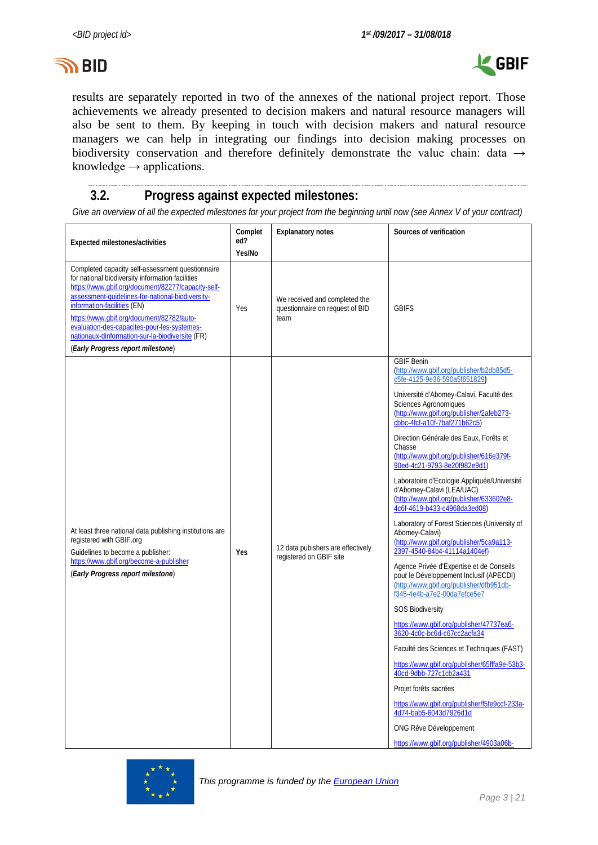



results are separately reported in two of the annexes of the national project report. Those achievements we already presented to decision makers and natural resource managers will also be sent to them. By keeping in touch with decision makers and natural resource managers we can help in integrating our findings into decision making processes on biodiversity conservation and therefore definitely demonstrate the value chain: data → knowledge  $\rightarrow$  applications.

## <span id="page-2-0"></span>**3.2. Progress against expected milestones:**

*Give an overview of all the expected milestones for your project from the beginning until now (see Annex V of your contract)*

| Expected milestones/activities                                                                                                                                                                                                                                                                                                                                                                                                    | Complet<br>ed?<br>Yes/No | <b>Explanatory notes</b>                                                 | Sources of verification                                                                                                                                                                                                                                                                                                                                                                                                                                                                                                                                                                                                                                                                                                                                                                                                                                                                                                                                                                                                                                                                                                                                                                                                                                              |
|-----------------------------------------------------------------------------------------------------------------------------------------------------------------------------------------------------------------------------------------------------------------------------------------------------------------------------------------------------------------------------------------------------------------------------------|--------------------------|--------------------------------------------------------------------------|----------------------------------------------------------------------------------------------------------------------------------------------------------------------------------------------------------------------------------------------------------------------------------------------------------------------------------------------------------------------------------------------------------------------------------------------------------------------------------------------------------------------------------------------------------------------------------------------------------------------------------------------------------------------------------------------------------------------------------------------------------------------------------------------------------------------------------------------------------------------------------------------------------------------------------------------------------------------------------------------------------------------------------------------------------------------------------------------------------------------------------------------------------------------------------------------------------------------------------------------------------------------|
| Completed capacity self-assessment questionnaire<br>for national biodiversity information facilities<br>https://www.gbif.org/document/82277/capacity-self-<br>assessment-quidelines-for-national-biodiversity-<br>information-facilities (EN)<br>https://www.gbif.org/document/82782/auto-<br>evaluation-des-capacites-pour-les-systemes-<br>nationaux-dinformation-sur-la-biodiversite (FR)<br>(Early Progress report milestone) | Yes                      | We received and completed the<br>questionnaire on request of BID<br>team | <b>GBIFS</b>                                                                                                                                                                                                                                                                                                                                                                                                                                                                                                                                                                                                                                                                                                                                                                                                                                                                                                                                                                                                                                                                                                                                                                                                                                                         |
| At least three national data publishing institutions are<br>registered with GBIF.org<br>Guidelines to become a publisher:<br>https://www.gbif.org/become-a-publisher<br>(Early Progress report milestone)                                                                                                                                                                                                                         | Yes                      | 12 data pubishers are effectively<br>registered on GBIF site             | <b>GBIF Benin</b><br>(http://www.gbif.org/publisher/b2db85d5-<br>c5fe-4125-9e36-590a5f651829)<br>Université d'Abomey-Calavi, Faculté des<br><b>Sciences Agronomiques</b><br>(http://www.gbif.org/publisher/2afeb273-<br>cbbc-4fcf-a10f-7baf271b62c5)<br>Direction Générale des Eaux, Forêts et<br>Chasse<br>(http://www.qbif.org/publisher/616e379f-<br>90ed-4c21-9793-8e20f982e9d1)<br>Laboratoire d'Ecologie Appliquée/Université<br>d'Abomey-Calavi (LEA/UAC)<br>(http://www.qbif.org/publisher/633602e8-<br>4c6f-4619-b433-c4968da3ed08)<br>Laboratory of Forest Sciences (University of<br>Abomey-Calavi)<br>(http://www.qbif.org/publisher/5ca9a113-<br>2397-4540-84b4-41114a1404ef)<br>Agence Privée d'Expertise et de Conseils<br>pour le Développement Inclusif (APECDI)<br>(http://www.qbif.org/publisher/dfb951db-<br>f345-4e4b-a7e2-00da7efce5e7<br><b>SOS Biodiversity</b><br>https://www.gbif.org/publisher/47737ea6-<br>3620-4c0c-bc6d-c67cc2acfa34<br>Faculté des Sciences et Techniques (FAST)<br>https://www.qbif.org/publisher/65fffa9e-53b3-<br>40cd-9dbb-727c1cb2a431<br>Projet forêts sacrées<br>https://www.qbif.org/publisher/f5fe9ccf-233a-<br>4d74-bab5-6043d7926d1d<br>ONG Rêve Développement<br>https://www.qbif.org/publisher/4903a06b- |

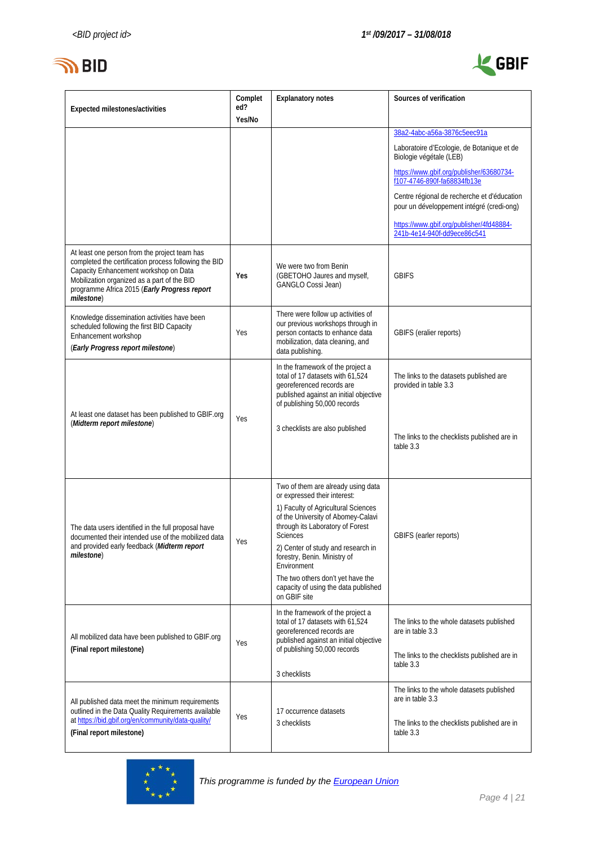

j.



| Expected milestones/activities                                                                                                                                                                                                                               | Complet<br>ed? | <b>Explanatory notes</b>                                                                                                                                                                                                                                                                                                                                                                 | Sources of verification                                                                                                    |
|--------------------------------------------------------------------------------------------------------------------------------------------------------------------------------------------------------------------------------------------------------------|----------------|------------------------------------------------------------------------------------------------------------------------------------------------------------------------------------------------------------------------------------------------------------------------------------------------------------------------------------------------------------------------------------------|----------------------------------------------------------------------------------------------------------------------------|
|                                                                                                                                                                                                                                                              | Yes/No         |                                                                                                                                                                                                                                                                                                                                                                                          |                                                                                                                            |
|                                                                                                                                                                                                                                                              |                |                                                                                                                                                                                                                                                                                                                                                                                          | 38a2-4abc-a56a-3876c5eec91a                                                                                                |
|                                                                                                                                                                                                                                                              |                |                                                                                                                                                                                                                                                                                                                                                                                          | Laboratoire d'Ecologie, de Botanique et de<br>Biologie végétale (LEB)                                                      |
|                                                                                                                                                                                                                                                              |                |                                                                                                                                                                                                                                                                                                                                                                                          | https://www.qbif.org/publisher/63680734-<br>f107-4746-890f-fa68834fb13e                                                    |
|                                                                                                                                                                                                                                                              |                |                                                                                                                                                                                                                                                                                                                                                                                          | Centre régional de recherche et d'éducation<br>pour un développement intégré (credi-ong)                                   |
|                                                                                                                                                                                                                                                              |                |                                                                                                                                                                                                                                                                                                                                                                                          | https://www.qbif.org/publisher/4fd48884-<br>241b-4e14-940f-dd9ece86c541                                                    |
| At least one person from the project team has<br>completed the certification process following the BID<br>Capacity Enhancement workshop on Data<br>Mobilization organized as a part of the BID<br>programme Africa 2015 (Early Progress report<br>milestone) | Yes            | We were two from Benin<br>(GBETOHO Jaures and myself,<br>GANGLO Cossi Jean)                                                                                                                                                                                                                                                                                                              | <b>GBIFS</b>                                                                                                               |
| Knowledge dissemination activities have been<br>scheduled following the first BID Capacity<br>Enhancement workshop<br>(Early Progress report milestone)                                                                                                      | Yes            | There were follow up activities of<br>our previous workshops through in<br>person contacts to enhance data<br>mobilization, data cleaning, and<br>data publishing.                                                                                                                                                                                                                       | GBIFS (eralier reports)                                                                                                    |
| At least one dataset has been published to GBIF.org                                                                                                                                                                                                          | Yes            | In the framework of the project a<br>total of 17 datasets with 61,524<br>georeferenced records are<br>published against an initial objective<br>of publishing 50,000 records                                                                                                                                                                                                             | The links to the datasets published are<br>provided in table 3.3                                                           |
| (Midterm report milestone)                                                                                                                                                                                                                                   |                | 3 checklists are also published                                                                                                                                                                                                                                                                                                                                                          | The links to the checklists published are in<br>table 3.3                                                                  |
| The data users identified in the full proposal have<br>documented their intended use of the mobilized data<br>and provided early feedback ( <i>Midterm report</i><br>milestone)                                                                              | Yes            | Two of them are already using data<br>or expressed their interest:<br>1) Faculty of Agricultural Sciences<br>of the University of Abomey-Calavi<br>through its Laboratory of Forest<br><b>Sciences</b><br>2) Center of study and research in<br>forestry, Benin. Ministry of<br>Environment<br>The two others don't yet have the<br>capacity of using the data published<br>on GBIF site | GBIFS (earler reports)                                                                                                     |
| All mobilized data have been published to GBIF org<br>(Final report milestone)                                                                                                                                                                               | Yes            | In the framework of the project a<br>total of 17 datasets with 61,524<br>georeferenced records are<br>published against an initial objective<br>of publishing 50,000 records<br>3 checklists                                                                                                                                                                                             | The links to the whole datasets published<br>are in table 3.3<br>The links to the checklists published are in<br>table 3.3 |
| All published data meet the minimum requirements<br>outlined in the Data Quality Requirements available<br>at https://bid.gbif.org/en/community/data-quality/<br>(Final report milestone)                                                                    | Yes            | 17 occurrence datasets<br>3 checklists                                                                                                                                                                                                                                                                                                                                                   | The links to the whole datasets published<br>are in table 3.3<br>The links to the checklists published are in<br>table 3.3 |

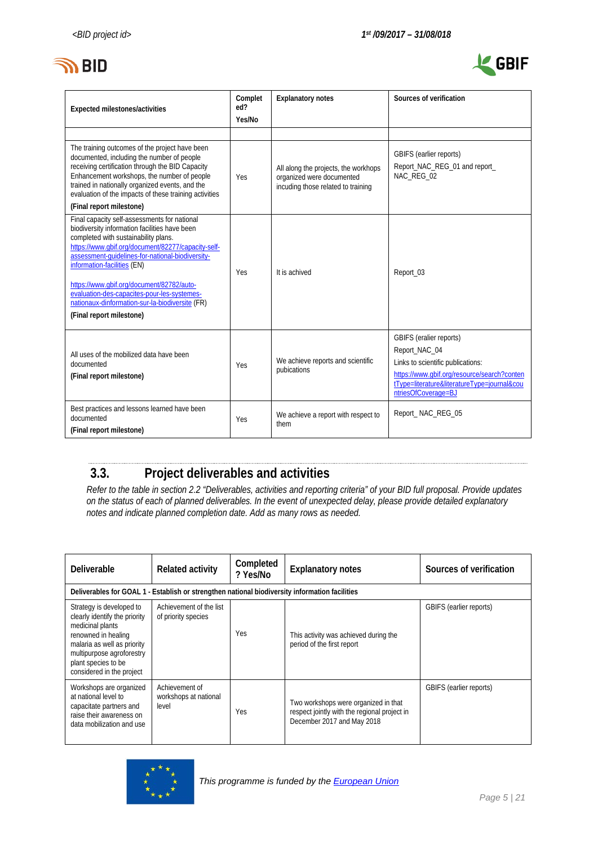



| <b>Expected milestones/activities</b>                                                                                                                                                                                                                                                                                                                                                                                                                     | Complet<br>ed?<br>Yes/No | <b>Explanatory notes</b>                                                                                | Sources of verification                                                                                                                                                                            |
|-----------------------------------------------------------------------------------------------------------------------------------------------------------------------------------------------------------------------------------------------------------------------------------------------------------------------------------------------------------------------------------------------------------------------------------------------------------|--------------------------|---------------------------------------------------------------------------------------------------------|----------------------------------------------------------------------------------------------------------------------------------------------------------------------------------------------------|
|                                                                                                                                                                                                                                                                                                                                                                                                                                                           |                          |                                                                                                         |                                                                                                                                                                                                    |
| The training outcomes of the project have been<br>documented, including the number of people<br>receiving certification through the BID Capacity<br>Enhancement workshops, the number of people<br>trained in nationally organized events, and the<br>evaluation of the impacts of these training activities<br>(Final report milestone)                                                                                                                  | Yes                      | All along the projects, the workhops<br>organized were documented<br>incuding those related to training | GBIFS (earlier reports)<br>Report_NAC_REG_01 and report_<br>NAC REG 02                                                                                                                             |
| Final capacity self-assessments for national<br>biodiversity information facilities have been<br>completed with sustainability plans.<br>https://www.abif.org/document/82277/capacity-self-<br>assessment-quidelines-for-national-biodiversity-<br>information-facilities (EN)<br>https://www.gbif.org/document/82782/auto-<br>evaluation-des-capacites-pour-les-systemes-<br>nationaux-dinformation-sur-la-biodiversite (FR)<br>(Final report milestone) | Yes                      | It is achived                                                                                           | Report_03                                                                                                                                                                                          |
| All uses of the mobilized data have been<br>documented<br>(Final report milestone)                                                                                                                                                                                                                                                                                                                                                                        | Yes                      | We achieve reports and scientific<br>pubications                                                        | GBIFS (eralier reports)<br>Report_NAC_04<br>Links to scientific publications:<br>https://www.gbif.org/resource/search?conten<br>tType=literature&literatureType=journal&cou<br>ntriesOfCoverage=BJ |
| Best practices and lessons learned have been<br>documented<br>(Final report milestone)                                                                                                                                                                                                                                                                                                                                                                    | Yes                      | We achieve a report with respect to<br>them                                                             | Report NAC REG 05                                                                                                                                                                                  |

# <span id="page-4-0"></span>**3.3. Project deliverables and activities**

*Refer to the table in section 2.2 "Deliverables, activities and reporting criteria" of your BID full proposal. Provide updates on the status of each of planned deliverables. In the event of unexpected delay, please provide detailed explanatory notes and indicate planned completion date. Add as many rows as needed.*

| <b>Deliverable</b>                                                                                                                                                                                                   | <b>Related activity</b>                          | Completed<br>? Yes/No | <b>Explanatory notes</b>                                                                                           | Sources of verification        |
|----------------------------------------------------------------------------------------------------------------------------------------------------------------------------------------------------------------------|--------------------------------------------------|-----------------------|--------------------------------------------------------------------------------------------------------------------|--------------------------------|
| Deliverables for GOAL 1 - Establish or strengthen national biodiversity information facilities                                                                                                                       |                                                  |                       |                                                                                                                    |                                |
| Strategy is developed to<br>clearly identify the priority<br>medicinal plants<br>renowned in healing<br>malaria as well as priority<br>multipurpose agroforestry<br>plant species to be<br>considered in the project | Achievement of the list<br>of priority species   | Yes                   | This activity was achieved during the<br>period of the first report                                                | GBIFS (earlier reports)        |
| Workshops are organized<br>at national level to<br>capacitate partners and<br>raise their awareness on<br>data mobilization and use                                                                                  | Achievement of<br>workshops at national<br>level | Yes                   | Two workshops were organized in that<br>respect jointly with the regional project in<br>December 2017 and May 2018 | <b>GBIFS</b> (earlier reports) |

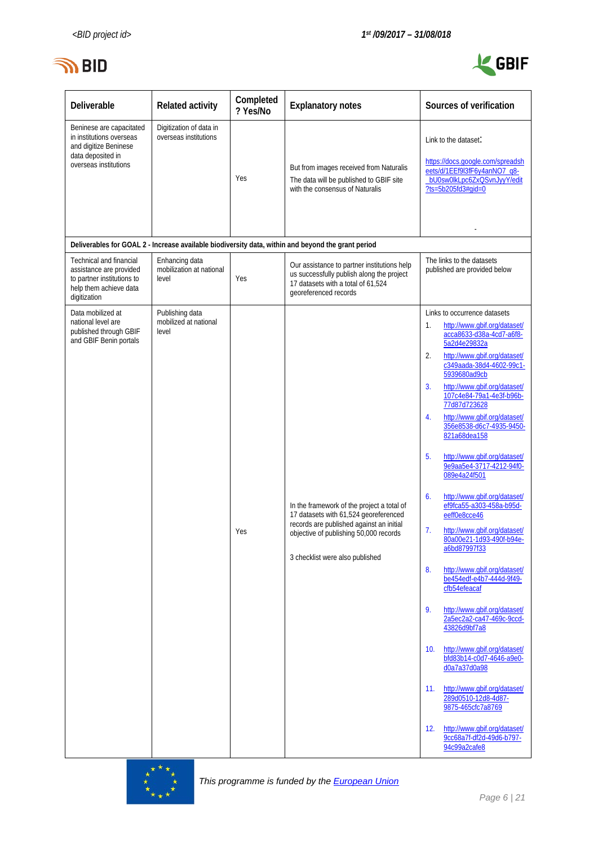



| Deliverable                                                                                                                 | <b>Related activity</b>                             | Completed<br>? Yes/No | <b>Explanatory notes</b>                                                                                                                                                                                     | Sources of verification                                                                                                                                                                                                                                                                                                                                                                                                                                                                                                                                                                                                                                                                                                                                                                                                                                                                                                                                                                                                                                             |
|-----------------------------------------------------------------------------------------------------------------------------|-----------------------------------------------------|-----------------------|--------------------------------------------------------------------------------------------------------------------------------------------------------------------------------------------------------------|---------------------------------------------------------------------------------------------------------------------------------------------------------------------------------------------------------------------------------------------------------------------------------------------------------------------------------------------------------------------------------------------------------------------------------------------------------------------------------------------------------------------------------------------------------------------------------------------------------------------------------------------------------------------------------------------------------------------------------------------------------------------------------------------------------------------------------------------------------------------------------------------------------------------------------------------------------------------------------------------------------------------------------------------------------------------|
| Beninese are capacitated<br>in institutions overseas<br>and digitize Beninese<br>data deposited in<br>overseas institutions | Digitization of data in<br>overseas institutions    | Yes                   | But from images received from Naturalis<br>The data will be published to GBIF site<br>with the consensus of Naturalis                                                                                        | Link to the dataset.<br>https://docs.google.com/spreadsh<br>eets/d/1EEf9l3fF6y4anNO7_q8-<br>bU0sw0lkLpc6ZxQSvnJyyY/edit<br>$?ts = 5b205fd3#qid = 0$                                                                                                                                                                                                                                                                                                                                                                                                                                                                                                                                                                                                                                                                                                                                                                                                                                                                                                                 |
|                                                                                                                             |                                                     |                       | Deliverables for GOAL 2 - Increase available biodiversity data, within and beyond the grant period                                                                                                           |                                                                                                                                                                                                                                                                                                                                                                                                                                                                                                                                                                                                                                                                                                                                                                                                                                                                                                                                                                                                                                                                     |
| Technical and financial<br>assistance are provided<br>to partner institutions to<br>help them achieve data<br>digitization  | Enhancing data<br>mobilization at national<br>level | Yes                   | Our assistance to partner institutions help<br>us successfully publish along the project<br>17 datasets with a total of 61,524<br>georeferenced records                                                      | The links to the datasets<br>published are provided below                                                                                                                                                                                                                                                                                                                                                                                                                                                                                                                                                                                                                                                                                                                                                                                                                                                                                                                                                                                                           |
| Data mobilized at<br>national level are<br>published through GBIF<br>and GBIF Benin portals                                 | Publishing data<br>mobilized at national<br>level   | Yes                   | In the framework of the project a total of<br>17 datasets with 61,524 georeferenced<br>records are published against an initial<br>objective of publishing 50,000 records<br>3 checklist were also published | Links to occurrence datasets<br>http://www.qbif.org/dataset/<br>1.<br>acca8633-d38a-4cd7-a6f8-<br>5a2d4e29832a<br>2.<br>http://www.gbif.org/dataset/<br>c349aada-38d4-4602-99c1-<br>5939680ad9cb<br>3.<br>http://www.qbif.org/dataset/<br>107c4e84-79a1-4e3f-b96b-<br>77d87d723628<br>http://www.qbif.org/dataset/<br>4.<br>356e8538-d6c7-4935-9450-<br>821a68dea158<br>5.<br>http://www.qbif.org/dataset/<br>9e9aa5e4-3717-4212-94f0-<br>089e4a24f501<br>6.<br>http://www.gbif.org/dataset/<br>ef9fca55-a303-458a-b95d-<br>eeff0e8cce46<br>7.<br>http://www.gbif.org/dataset/<br>80a00e21-1d93-490f-b94e-<br>a6bd87997f33<br>8.<br>http://www.qbif.org/dataset/<br>be454edf-e4b7-444d-9f49-<br>cfb54efeacaf<br>9.<br>http://www.qbif.org/dataset/<br>2a5ec2a2-ca47-469c-9ccd-<br>43826d9bf7a8<br>http://www.qbif.org/dataset/<br>10 <sub>1</sub><br>bfd83b14-c0d7-4646-a9e0-<br>d0a7a37d0a98<br>http://www.qbif.org/dataset/<br>11.<br>289d0510-12d8-4d87-<br>9875-465cfc7a8769<br>http://www.qbif.org/dataset/<br>12.<br>9cc68a7f-df2d-49d6-b797-<br>94c99a2cafe8 |

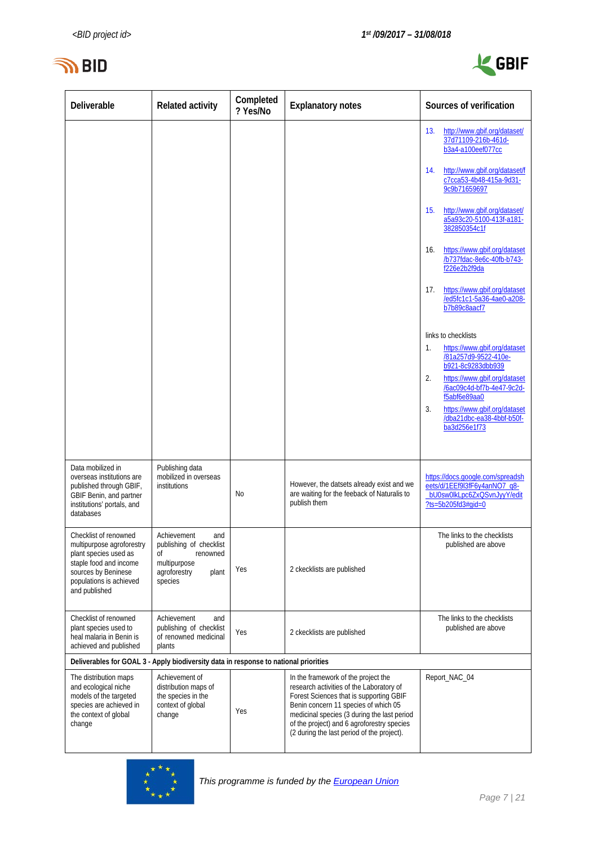



| Deliverable                                                                                                                                     | <b>Related activity</b>                                                                     | Completed<br>? Yes/No | <b>Explanatory notes</b>                                                                                                                                                                                                                                                                                      | Sources of verification                                                                                                     |
|-------------------------------------------------------------------------------------------------------------------------------------------------|---------------------------------------------------------------------------------------------|-----------------------|---------------------------------------------------------------------------------------------------------------------------------------------------------------------------------------------------------------------------------------------------------------------------------------------------------------|-----------------------------------------------------------------------------------------------------------------------------|
|                                                                                                                                                 |                                                                                             |                       |                                                                                                                                                                                                                                                                                                               | 13.<br>http://www.gbif.org/dataset/<br>37d71109-216b-461d-<br>b3a4-a100eef077cc                                             |
|                                                                                                                                                 |                                                                                             |                       |                                                                                                                                                                                                                                                                                                               | http://www.gbif.org/dataset/f<br>14.<br>c7cca53-4b48-415a-9d31-<br>9c9b71659697                                             |
|                                                                                                                                                 |                                                                                             |                       |                                                                                                                                                                                                                                                                                                               | http://www.gbif.org/dataset/<br>15.<br>a5a93c20-5100-413f-a181-<br>382850354c1f                                             |
|                                                                                                                                                 |                                                                                             |                       |                                                                                                                                                                                                                                                                                                               | https://www.gbif.org/dataset<br>16.<br>/b737fdac-8e6c-40fb-b743-<br>f226e2b2f9da                                            |
|                                                                                                                                                 |                                                                                             |                       |                                                                                                                                                                                                                                                                                                               | https://www.gbif.org/dataset<br>17.<br>/ed5fc1c1-5a36-4ae0-a208-<br>b7b89c8aacf7                                            |
|                                                                                                                                                 |                                                                                             |                       |                                                                                                                                                                                                                                                                                                               | links to checklists                                                                                                         |
|                                                                                                                                                 |                                                                                             |                       |                                                                                                                                                                                                                                                                                                               | https://www.gbif.org/dataset<br>1.<br>/81a257d9-9522-410e-                                                                  |
|                                                                                                                                                 |                                                                                             |                       |                                                                                                                                                                                                                                                                                                               | b921-8c9283dbb939<br>https://www.qbif.org/dataset<br>2.                                                                     |
|                                                                                                                                                 |                                                                                             |                       |                                                                                                                                                                                                                                                                                                               | /6ac09c4d-bf7b-4e47-9c2d-<br>f5abf6e89aa0                                                                                   |
|                                                                                                                                                 |                                                                                             |                       |                                                                                                                                                                                                                                                                                                               | https://www.gbif.org/dataset<br>3.<br>/dba21dbc-ea38-4bbf-b50f-<br>ba3d256e1f73                                             |
|                                                                                                                                                 |                                                                                             |                       |                                                                                                                                                                                                                                                                                                               |                                                                                                                             |
| Data mobilized in<br>overseas institutions are<br>published through GBIF,<br>GBIF Benin, and partner<br>institutions' portals, and<br>databases | Publishing data<br>mobilized in overseas<br>institutions                                    | No                    | However, the datsets already exist and we<br>are waiting for the feeback of Naturalis to<br>publish them                                                                                                                                                                                                      | https://docs.google.com/spreadsh<br>eets/d/1EEf9l3fF6y4anNO7_q8-<br>bU0sw0lkLpc6ZxQSvnJyyY/edit<br>$?ts = 5b205fd3#qid = 0$ |
| Checklist of renowned<br>multipurpose agroforestry                                                                                              | Achievement<br>and<br>publishing of checklist                                               |                       |                                                                                                                                                                                                                                                                                                               | The links to the checklists<br>published are above                                                                          |
| plant species used as<br>staple food and income<br>sources by Beninese<br>populations is achieved<br>and published                              | οf<br>renowned<br>multipurpose<br>agroforestry<br>plant<br>species                          | Yes                   | 2 ckecklists are published                                                                                                                                                                                                                                                                                    |                                                                                                                             |
| Checklist of renowned<br>plant species used to<br>heal malaria in Benin is<br>achieved and published                                            | Achievement<br>and<br>publishing of checklist<br>of renowned medicinal<br>plants            | Yes                   | 2 ckecklists are published                                                                                                                                                                                                                                                                                    | The links to the checklists<br>published are above                                                                          |
| Deliverables for GOAL 3 - Apply biodiversity data in response to national priorities                                                            |                                                                                             |                       |                                                                                                                                                                                                                                                                                                               |                                                                                                                             |
| The distribution maps<br>and ecological niche<br>models of the targeted<br>species are achieved in<br>the context of global<br>change           | Achievement of<br>distribution maps of<br>the species in the<br>context of global<br>change | Yes                   | In the framework of the project the<br>research activities of the Laboratory of<br>Forest Sciences that is supporting GBIF<br>Benin concern 11 species of which 05<br>medicinal species (3 during the last period<br>of the project) and 6 agroforestry species<br>(2 during the last period of the project). | Report_NAC_04                                                                                                               |

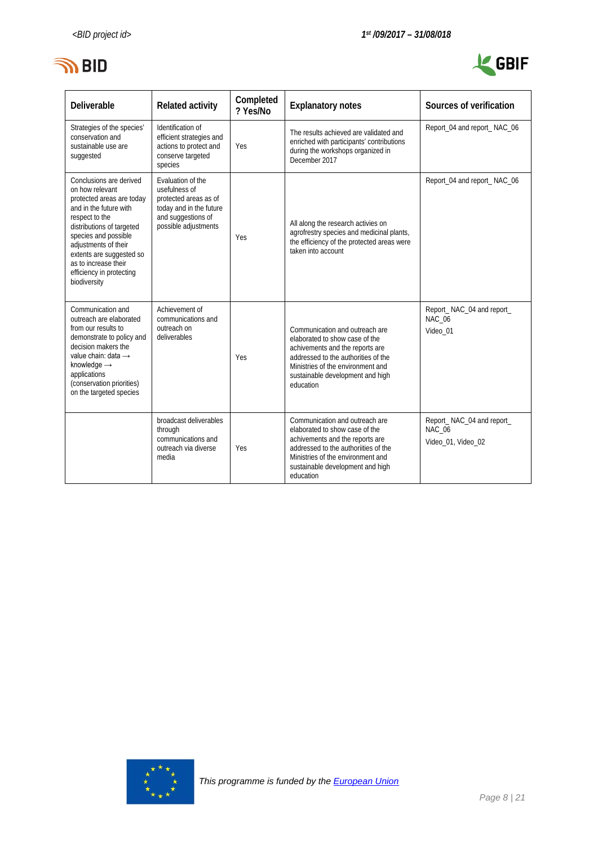



| <b>Deliverable</b>                                                                                                                                                                                                                                                                               | <b>Related activity</b>                                                                                                              | Completed<br>? Yes/No | <b>Explanatory notes</b>                                                                                                                                                                                                         | Sources of verification                                          |
|--------------------------------------------------------------------------------------------------------------------------------------------------------------------------------------------------------------------------------------------------------------------------------------------------|--------------------------------------------------------------------------------------------------------------------------------------|-----------------------|----------------------------------------------------------------------------------------------------------------------------------------------------------------------------------------------------------------------------------|------------------------------------------------------------------|
| Strategies of the species'<br>conservation and<br>sustainable use are<br>suggested                                                                                                                                                                                                               | Identification of<br>efficient strategies and<br>actions to protect and<br>conserve targeted<br>species                              | Yes                   | The results achieved are validated and<br>enriched with participants' contributions<br>during the workshops organized in<br>December 2017                                                                                        | Report_04 and report_NAC_06                                      |
| Conclusions are derived<br>on how relevant<br>protected areas are today<br>and in the future with<br>respect to the<br>distributions of targeted<br>species and possible<br>adjustments of their<br>extents are suggested so<br>as to increase their<br>efficiency in protecting<br>biodiversity | Evaluation of the<br>usefulness of<br>protected areas as of<br>today and in the future<br>and suggestions of<br>possible adjustments | Yes                   | All along the research activies on<br>agrofrestry species and medicinal plants,<br>the efficiency of the protected areas were<br>taken into account                                                                              | Report_04 and report_NAC_06                                      |
| Communication and<br>outreach are elaborated<br>from our results to<br>demonstrate to policy and<br>decision makers the<br>value chain: data $\rightarrow$<br>knowledge $\rightarrow$<br>applications<br>(conservation priorities)<br>on the targeted species                                    | Achievement of<br>communications and<br>outreach on<br>deliverables                                                                  | Yes                   | Communication and outreach are<br>elaborated to show case of the<br>achivements and the reports are<br>addressed to the authorities of the<br>Ministries of the environment and<br>sustainable development and high<br>education | Report_NAC_04 and report_<br><b>NAC 06</b><br>Video 01           |
|                                                                                                                                                                                                                                                                                                  | broadcast deliverables<br>through<br>communications and<br>outreach via diverse<br>media                                             | Yes                   | Communication and outreach are<br>elaborated to show case of the<br>achivements and the reports are<br>addressed to the authorities of the<br>Ministries of the environment and<br>sustainable development and high<br>education | Report_NAC_04 and report_<br><b>NAC 06</b><br>Video 01, Video 02 |

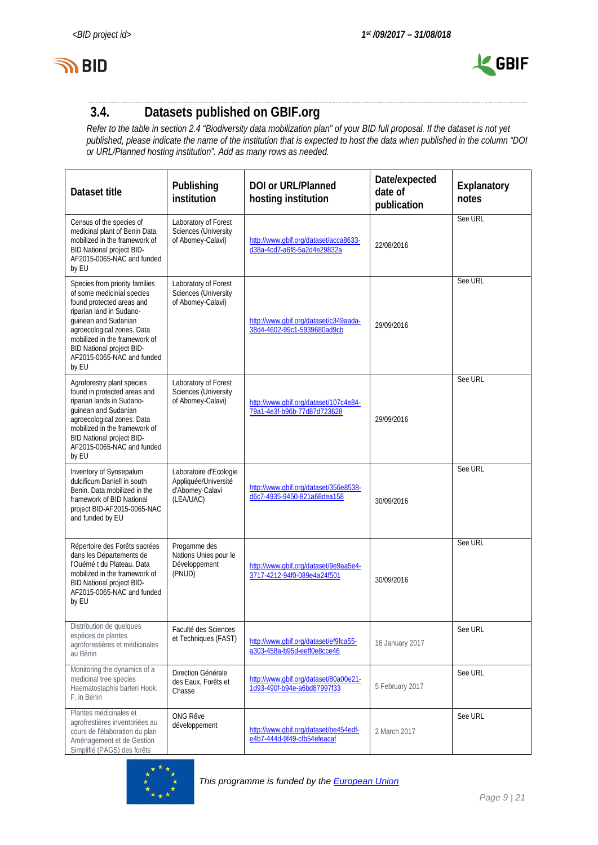



# <span id="page-8-0"></span>**3.4. Datasets published on GBIF.org**

*Refer to the table in section 2.4 "Biodiversity data mobilization plan" of your BID full proposal. If the dataset is not yet published, please indicate the name of the institution that is expected to host the data when published in the column "DOI or URL/Planned hosting institution". Add as many rows as needed.*

| Dataset title                                                                                                                                                                                                                                                                    | Publishing<br>institution                                                      | <b>DOI or URL/Planned</b><br>hosting institution                     | Date/expected<br>date of<br>publication | Explanatory<br>notes |
|----------------------------------------------------------------------------------------------------------------------------------------------------------------------------------------------------------------------------------------------------------------------------------|--------------------------------------------------------------------------------|----------------------------------------------------------------------|-----------------------------------------|----------------------|
| Census of the species of<br>medicinal plant of Benin Data<br>mobilized in the framework of<br>BID National project BID-<br>AF2015-0065-NAC and funded<br>by EU                                                                                                                   | Laboratory of Forest<br>Sciences (University<br>of Abomey-Calavi)              | http://www.qbif.org/dataset/acca8633-<br>d38a-4cd7-a6f8-5a2d4e29832a | 22/08/2016                              | See URL              |
| Species from priority families<br>of some medicinial species<br>found protected areas and<br>riparian land in Sudano-<br>guinean and Sudanian<br>agroecological zones. Data<br>mobilized in the framework of<br>BID National project BID-<br>AF2015-0065-NAC and funded<br>by EU | Laboratory of Forest<br><b>Sciences (University</b><br>of Abomey-Calavi)       | http://www.qbif.org/dataset/c349aada-<br>38d4-4602-99c1-5939680ad9cb | 29/09/2016                              | See URL              |
| Agroforestry plant species<br>found in protected areas and<br>riparian lands in Sudano-<br>quinean and Sudanian<br>agroecological zones. Data<br>mobilized in the framework of<br>BID National project BID-<br>AF2015-0065-NAC and funded<br>by EU                               | Laboratory of Forest<br><b>Sciences (University</b><br>of Abomey-Calavi)       | http://www.qbif.org/dataset/107c4e84-<br>79a1-4e3f-b96b-77d87d723628 | 29/09/2016                              | See URL              |
| Inventory of Synsepalum<br>dulcificum Daniell in south<br>Benin. Data mobilized in the<br>framework of BID National<br>project BID-AF2015-0065-NAC<br>and funded by EU                                                                                                           | Laboratoire d'Ecologie<br>Appliquée/Université<br>d'Abomey-Calavi<br>(LEA/UAC) | http://www.gbif.org/dataset/356e8538-<br>d6c7-4935-9450-821a68dea158 | 30/09/2016                              | See URL              |
| Répertoire des Forêts sacrées<br>dans les Départements de<br>l'Ouémé t du Plateau. Data<br>mobilized in the framework of<br>BID National project BID-<br>AF2015-0065-NAC and funded<br>by EU                                                                                     | Progamme des<br>Nations Unies pour le<br>Développement<br>(PNUD)               | http://www.gbif.org/dataset/9e9aa5e4-<br>3717-4212-94f0-089e4a24f501 | 30/09/2016                              | See URL              |
| Distribution de quelques<br>espèces de plantes<br>agroforestières et médicinales<br>au Bénin                                                                                                                                                                                     | Faculté des Sciences<br>et Techniques (FAST)                                   | http://www.gbif.org/dataset/ef9fca55-<br>a303-458a-b95d-eeff0e8cce46 | 16 January 2017                         | See URL              |
| Monitoring the dynamics of a<br>medicinal tree species<br>Haematostaphis barteri Hook.<br>F. in Benin                                                                                                                                                                            | Direction Générale<br>des Eaux, Forêts et<br>Chasse                            | http://www.gbif.org/dataset/80a00e21-<br>1d93-490f-b94e-a6bd87997f33 | 5 February 2017                         | See URL              |
| Plantes médicinales et<br>agrofrestières inventoriées au<br>cours de l'élaboration du plan<br>Aménagement et de Gestion<br>Simplifié (PAGS) des forêts                                                                                                                           | <b>ONG Rêve</b><br>développement                                               | http://www.gbif.org/dataset/be454edf-<br>e4b7-444d-9f49-cfb54efeacaf | 2 March 2017                            | See URL              |

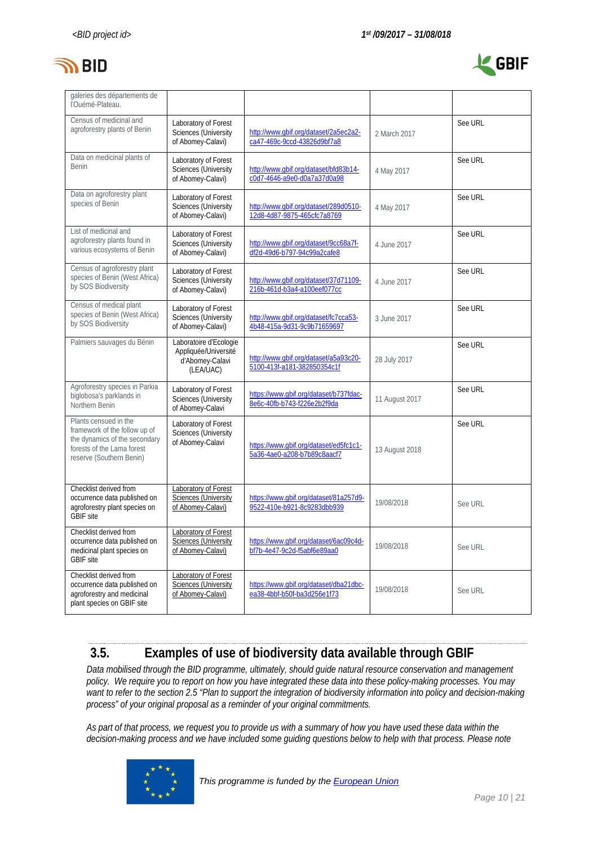



| galeries des départements de<br>l'Ouémé-Plateau.                                                                                                  |                                                                                |                                                                       |                |         |
|---------------------------------------------------------------------------------------------------------------------------------------------------|--------------------------------------------------------------------------------|-----------------------------------------------------------------------|----------------|---------|
| Census of medicinal and<br>agroforestry plants of Benin                                                                                           | Laboratory of Forest<br>Sciences (University<br>of Abomey-Calavi)              | http://www.gbif.org/dataset/2a5ec2a2-<br>ca47-469c-9ccd-43826d9bf7a8  | 2 March 2017   | See URL |
| Data on medicinal plants of<br><b>Benin</b>                                                                                                       | Laboratory of Forest<br>Sciences (University<br>of Abomey-Calavi)              | http://www.gbif.org/dataset/bfd83b14-<br>c0d7-4646-a9e0-d0a7a37d0a98  | 4 May 2017     | See URL |
| Data on agroforestry plant<br>species of Benin                                                                                                    | Laboratory of Forest<br>Sciences (University<br>of Abomey-Calavi)              | http://www.gbif.org/dataset/289d0510-<br>12d8-4d87-9875-465cfc7a8769  | 4 May 2017     | See URL |
| List of medicinal and<br>agroforestry plants found in<br>various ecosystems of Benin                                                              | Laboratory of Forest<br>Sciences (University<br>of Abomey-Calavi)              | http://www.gbif.org/dataset/9cc68a7f-<br>df2d-49d6-b797-94c99a2cafe8  | 4 June 2017    | See URL |
| Census of agroforestry plant<br>species of Benin (West Africa)<br>by SOS Biodiversity                                                             | Laboratory of Forest<br><b>Sciences (University</b><br>of Abomey-Calavi)       | http://www.gbif.org/dataset/37d71109-<br>216b-461d-b3a4-a100eef077cc  | 4 June 2017    | See URL |
| Census of medical plant<br>species of Benin (West Africa)<br>by SOS Biodiversity                                                                  | Laboratory of Forest<br>Sciences (University<br>of Abomey-Calavi)              | http://www.qbif.org/dataset/fc7cca53-<br>4b48-415a-9d31-9c9b71659697  | 3 June 2017    | See URL |
| Palmiers sauvages du Bénin                                                                                                                        | Laboratoire d'Ecologie<br>Appliquée/Université<br>d'Abomey-Calavi<br>(LEA/UAC) | http://www.gbif.org/dataset/a5a93c20-<br>5100-413f-a181-382850354c1f  | 28 July 2017   | See URL |
| Agroforestry species in Parkia<br>biglobosa's parklands in<br>Northern Benin                                                                      | Laboratory of Forest<br><b>Sciences (University</b><br>of Abomey-Calavi        | https://www.gbif.org/dataset/b737fdac-<br>8e6c-40fb-b743-f226e2b2f9da | 11 August 2017 | See URL |
| Plants censued in the<br>framework of the follow up of<br>the dynamics of the secondary<br>forests of the Lama forest<br>reserve (Southern Benin) | Laboratory of Forest<br><b>Sciences (University</b><br>of Abomey-Calavi        | https://www.gbif.org/dataset/ed5fc1c1-<br>5a36-4ae0-a208-b7b89c8aacf7 | 13 August 2018 | See URL |
| Checklist derived from<br>occurrence data published on<br>agroforestry plant species on<br><b>GBIF</b> site                                       | Laboratory of Forest<br>Sciences (University<br>of Abomey-Calavi)              | https://www.qbif.org/dataset/81a257d9-<br>9522-410e-b921-8c9283dbb939 | 19/08/2018     | See URL |
| Checklist derived from<br>occurrence data published on<br>medicinal plant species on<br><b>GBIF</b> site                                          | Laboratory of Forest<br><b>Sciences (University</b><br>of Abomey-Calavi)       | https://www.qbif.org/dataset/6ac09c4d-<br>bf7b-4e47-9c2d-f5abf6e89aa0 | 19/08/2018     | See URL |
| Checklist derived from<br>occurrence data published on<br>agroforestry and medicinal<br>plant species on GBIF site                                | Laboratory of Forest<br><b>Sciences (University</b><br>of Abomey-Calavi)       | https://www.qbif.org/dataset/dba21dbc-<br>ea38-4bbf-b50f-ba3d256e1f73 | 19/08/2018     | See URL |

# <span id="page-9-0"></span>**3.5. Examples of use of biodiversity data available through GBIF**

*Data mobilised through the BID programme, ultimately, should guide natural resource conservation and management policy. We require you to report on how you have integrated these data into these policy-making processes. You may want to refer to the section 2.5 "Plan to support the integration of biodiversity information into policy and decision-making process" of your original proposal as a reminder of your original commitments.* 

*As part of that process, we request you to provide us with a summary of how you have used these data within the decision-making process and we have included some guiding questions below to help with that process. Please note* 

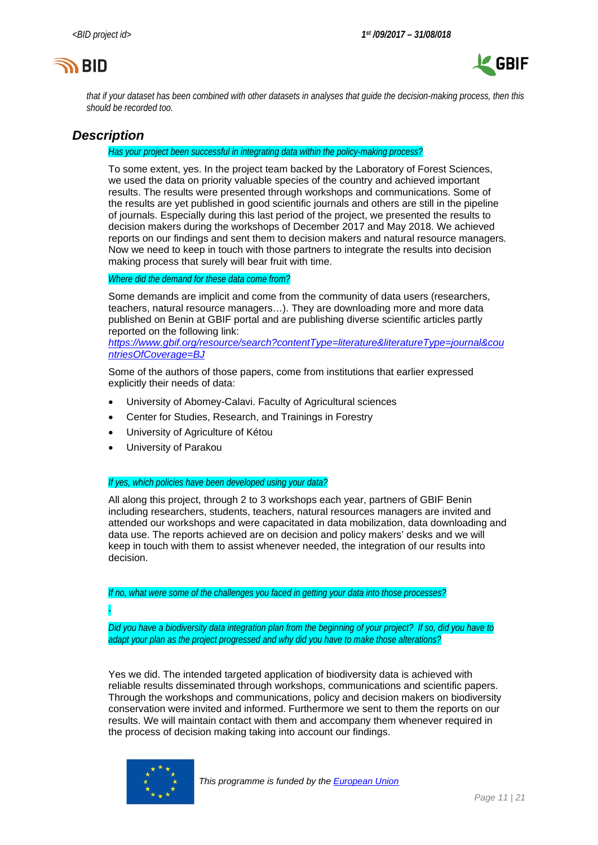



*that if your dataset has been combined with other datasets in analyses that guide the decision-making process, then this should be recorded too.* 

## *Description*

#### *Has your project been successful in integrating data within the policy-making process?*

To some extent, yes. In the project team backed by the Laboratory of Forest Sciences, we used the data on priority valuable species of the country and achieved important results. The results were presented through workshops and communications. Some of the results are yet published in good scientific journals and others are still in the pipeline of journals. Especially during this last period of the project, we presented the results to decision makers during the workshops of December 2017 and May 2018. We achieved reports on our findings and sent them to decision makers and natural resource managers*.* Now we need to keep in touch with those partners to integrate the results into decision making process that surely will bear fruit with time.

#### *Where did the demand for these data come from?*

Some demands are implicit and come from the community of data users (researchers, teachers, natural resource managers…). They are downloading more and more data published on Benin at GBIF portal and are publishing diverse scientific articles partly reported on the following link:

*[https://www.gbif.org/resource/search?contentType=literature&literatureType=journal&cou](https://www.gbif.org/resource/search?contentType=literature&literatureType=journal&countriesOfCoverage=BJ) [ntriesOfCoverage=BJ](https://www.gbif.org/resource/search?contentType=literature&literatureType=journal&countriesOfCoverage=BJ)*

Some of the authors of those papers, come from institutions that earlier expressed explicitly their needs of data:

- University of Abomey-Calavi. Faculty of Agricultural sciences
- Center for Studies, Research, and Trainings in Forestry
- University of Agriculture of Kétou
- University of Parakou

#### *If yes, which policies have been developed using your data?*

All along this project, through 2 to 3 workshops each year, partners of GBIF Benin including researchers, students, teachers, natural resources managers are invited and attended our workshops and were capacitated in data mobilization, data downloading and data use. The reports achieved are on decision and policy makers' desks and we will keep in touch with them to assist whenever needed, the integration of our results into decision.

*If no, what were some of the challenges you faced in getting your data into those processes?*

*-*

*Did you have a biodiversity data integration plan from the beginning of your project? If so, did you have to adapt your plan as the project progressed and why did you have to make those alterations?*

Yes we did. The intended targeted application of biodiversity data is achieved with reliable results disseminated through workshops, communications and scientific papers. Through the workshops and communications, policy and decision makers on biodiversity conservation were invited and informed. Furthermore we sent to them the reports on our results. We will maintain contact with them and accompany them whenever required in the process of decision making taking into account our findings.

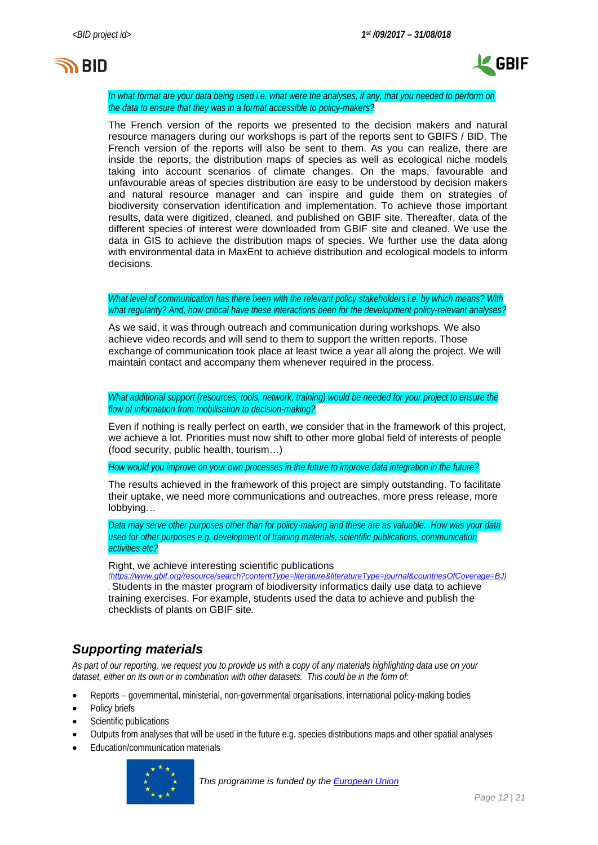



*In what format are your data being used i.e. what were the analyses, if any, that you needed to perform on the data to ensure that they was in a format accessible to policy-makers?*

The French version of the reports we presented to the decision makers and natural resource managers during our workshops is part of the reports sent to GBIFS / BID. The French version of the reports will also be sent to them. As you can realize, there are inside the reports, the distribution maps of species as well as ecological niche models taking into account scenarios of climate changes. On the maps, favourable and unfavourable areas of species distribution are easy to be understood by decision makers and natural resource manager and can inspire and guide them on strategies of biodiversity conservation identification and implementation. To achieve those important results, data were digitized, cleaned, and published on GBIF site. Thereafter, data of the different species of interest were downloaded from GBIF site and cleaned. We use the data in GIS to achieve the distribution maps of species. We further use the data along with environmental data in MaxEnt to achieve distribution and ecological models to inform decisions.

*What level of communication has there been with the relevant policy stakeholders i.e. by which means? With what regularity? And, how critical have these interactions been for the development policy-relevant analyses?*

As we said, it was through outreach and communication during workshops. We also achieve video records and will send to them to support the written reports. Those exchange of communication took place at least twice a year all along the project. We will maintain contact and accompany them whenever required in the process.

*What additional support (resources, tools, network, training) would be needed for your project to ensure the flow of information from mobilisation to decision-making?*

Even if nothing is really perfect on earth, we consider that in the framework of this project, we achieve a lot. Priorities must now shift to other more global field of interests of people (food security, public health, tourism…)

*How would you improve on your own processes in the future to improve data integration in the future?*

The results achieved in the framework of this project are simply outstanding. To facilitate their uptake, we need more communications and outreaches, more press release, more lobbying…

*Data may serve other purposes other than for policy-making and these are as valuable. How was your data used for other purposes e.g. development of training materials, scientific publications, communication activities etc?*

Right, we achieve interesting scientific publications

*(<https://www.gbif.org/resource/search?contentType=literature&literatureType=journal&countriesOfCoverage=BJ>) .* Students in the master program of biodiversity informatics daily use data to achieve training exercises. For example, students used the data to achieve and publish the checklists of plants on GBIF site*.* 

## *Supporting materials*

*As part of our reporting, we request you to provide us with a copy of any materials highlighting data use on your dataset, either on its own or in combination with other datasets. This could be in the form of:*

- Reports governmental, ministerial, non-governmental organisations, international policy-making bodies
- Policy briefs
- Scientific publications
- Outputs from analyses that will be used in the future e.g. species distributions maps and other spatial analyses
- Education/communication materials

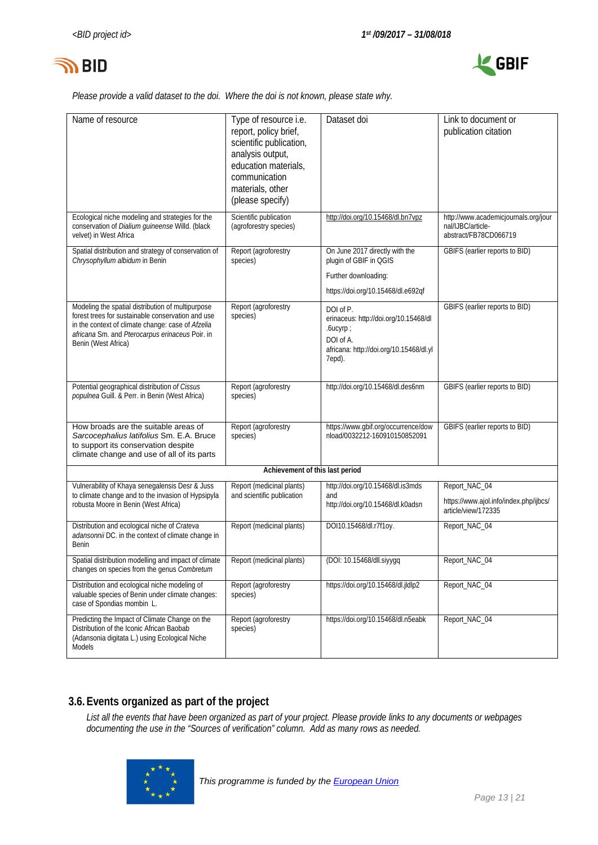



*Please provide a valid dataset to the doi. Where the doi is not known, please state why.*

| Name of resource                                                                                                                                                                                                                      | Type of resource i.e.<br>report, policy brief,<br>scientific publication,<br>analysis output,<br>education materials,<br>communication<br>materials, other<br>(please specify) | Dataset doi                                                                                                                      | Link to document or<br>publication citation                                        |
|---------------------------------------------------------------------------------------------------------------------------------------------------------------------------------------------------------------------------------------|--------------------------------------------------------------------------------------------------------------------------------------------------------------------------------|----------------------------------------------------------------------------------------------------------------------------------|------------------------------------------------------------------------------------|
| Ecological niche modeling and strategies for the<br>conservation of Dialium guineense Willd. (black<br>velvet) in West Africa                                                                                                         | Scientific publication<br>(agroforestry species)                                                                                                                               | http://doi.org/10.15468/dl.bn7vpz                                                                                                | http://www.academicjournals.org/jour<br>nal/LJBC/article-<br>abstract/FB78CD066719 |
| Spatial distribution and strategy of conservation of<br>Chrysophyllum albidum in Benin                                                                                                                                                | Report (agroforestry<br>species)                                                                                                                                               | On June 2017 directly with the<br>plugin of GBIF in QGIS<br>Further downloading:<br>https://doi.org/10.15468/dl.e692qf           | GBIFS (earlier reports to BID)                                                     |
| Modeling the spatial distribution of multipurpose<br>forest trees for sustainable conservation and use<br>in the context of climate change: case of Afzelia<br>africana Sm. and Pterocarpus erinaceus Poir. in<br>Benin (West Africa) | Report (agroforestry<br>species)                                                                                                                                               | DOI of P.<br>erinaceus: http://doi.org/10.15468/dl<br>.6ucyrp;<br>DOI of A.<br>africana: http://doi.org/10.15468/dl.yl<br>7epd). | GBIFS (earlier reports to BID)                                                     |
| Potential geographical distribution of Cissus<br>populnea Guill. & Perr. in Benin (West Africa)                                                                                                                                       | Report (agroforestry<br>species)                                                                                                                                               | http://doi.org/10.15468/dl.des6nm                                                                                                | GBIFS (earlier reports to BID)                                                     |
| How broads are the suitable areas of<br>Sarcocephalius latifolius Sm. E.A. Bruce<br>to support its conservation despite<br>climate change and use of all of its parts                                                                 | Report (agroforestry<br>species)                                                                                                                                               | https://www.gbif.org/occurrence/dow<br>nload/0032212-160910150852091                                                             | GBIFS (earlier reports to BID)                                                     |
|                                                                                                                                                                                                                                       | Achievement of this last period                                                                                                                                                |                                                                                                                                  |                                                                                    |
| Vulnerability of Khaya senegalensis Desr & Juss                                                                                                                                                                                       | Report (medicinal plants)                                                                                                                                                      | http://doi.org/10.15468/dl.is3mds                                                                                                | Report_NAC_04                                                                      |
| to climate change and to the invasion of Hypsipyla<br>robusta Moore in Benin (West Africa)                                                                                                                                            | and scientific publication                                                                                                                                                     | and<br>http://doi.org/10.15468/dl.k0adsn                                                                                         | https://www.ajol.info/index.php/ijbcs/<br>article/view/172335                      |
| Distribution and ecological niche of Crateva<br>adansonnii DC. in the context of climate change in<br>Benin                                                                                                                           | Report (medicinal plants)                                                                                                                                                      | DOI10.15468/dl.r7f1oy.                                                                                                           | Report NAC 04                                                                      |
| Spatial distribution modelling and impact of climate<br>changes on species from the genus Combretum                                                                                                                                   | Report (medicinal plants)                                                                                                                                                      | (DOI: 10.15468/dll.siyygq                                                                                                        | Report_NAC_04                                                                      |
| Distribution and ecological niche modeling of<br>valuable species of Benin under climate changes:<br>case of Spondias mombin L.                                                                                                       | Report (agroforestry<br>species)                                                                                                                                               | https://doi.org/10.15468/dl.jldlp2                                                                                               | Report_NAC_04                                                                      |
| Predicting the Impact of Climate Change on the<br>Distribution of the Iconic African Baobab<br>(Adansonia digitata L.) using Ecological Niche<br><b>Models</b>                                                                        | Report (agroforestry<br>species)                                                                                                                                               | https://doi.org/10.15468/dl.n5eabk                                                                                               | Report_NAC_04                                                                      |

## **3.6.Events organized as part of the project**

*List all the events that have been organized as part of your project. Please provide links to any documents or webpages documenting the use in the "Sources of verification" column. Add as many rows as needed.*

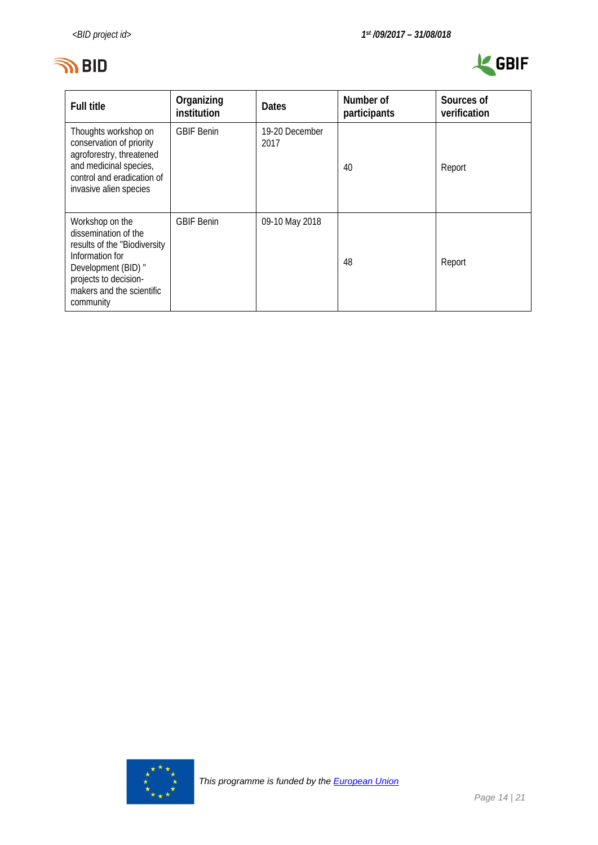



| <b>Full title</b>                                                                                                                                                                    | Organizing<br>institution | <b>Dates</b>           | Number of<br>participants | Sources of<br>verification |
|--------------------------------------------------------------------------------------------------------------------------------------------------------------------------------------|---------------------------|------------------------|---------------------------|----------------------------|
| Thoughts workshop on<br>conservation of priority<br>agroforestry, threatened<br>and medicinal species,<br>control and eradication of<br>invasive alien species                       | <b>GBIF Benin</b>         | 19-20 December<br>2017 | 40                        | Report                     |
| Workshop on the<br>dissemination of the<br>results of the "Biodiversity<br>Information for<br>Development (BID) "<br>projects to decision-<br>makers and the scientific<br>community | <b>GBIF Benin</b>         | 09-10 May 2018         | 48                        | Report                     |

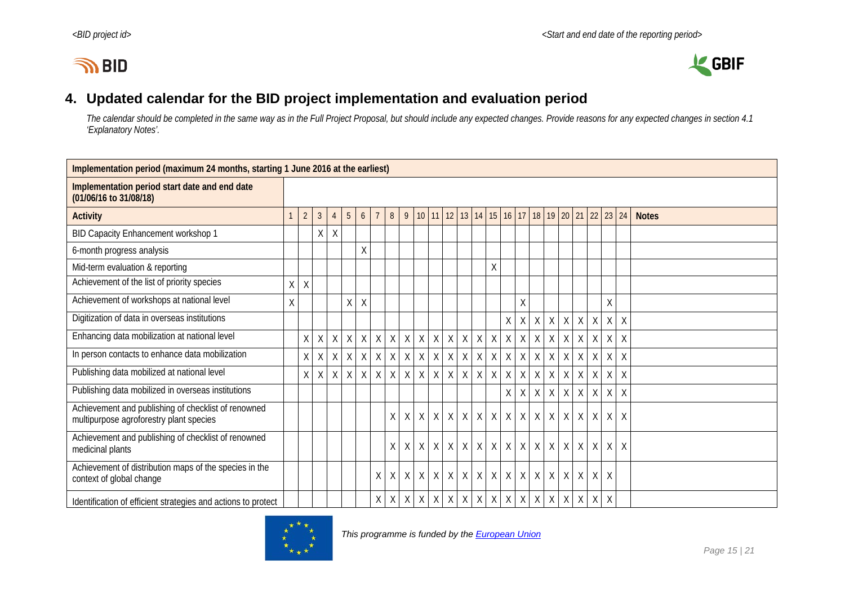# **IN BID**



# **4. Updated calendar for the BID project implementation and evaluation period**

*The calendar should be completed in the same way as in the Full Project Proposal, but should include any expected changes. Provide reasons for any expected changes in section 4.1 'Explanatory Notes'.*

<span id="page-14-0"></span>

| Implementation period (maximum 24 months, starting 1 June 2016 at the earliest)                |   |                |                |                |   |              |              |              |              |              |              |                      |              |              |   |              |                 |              |              |              |             |              |             |              |              |
|------------------------------------------------------------------------------------------------|---|----------------|----------------|----------------|---|--------------|--------------|--------------|--------------|--------------|--------------|----------------------|--------------|--------------|---|--------------|-----------------|--------------|--------------|--------------|-------------|--------------|-------------|--------------|--------------|
| Implementation period start date and end date<br>(01/06/16 to 31/08/18)                        |   |                |                |                |   |              |              |              |              |              |              |                      |              |              |   |              |                 |              |              |              |             |              |             |              |              |
| <b>Activity</b>                                                                                |   | $\overline{2}$ | $\mathfrak{Z}$ | $\overline{4}$ | 5 | 6            |              | 8            | 9            |              |              | $10 \mid 11 \mid 12$ | 13           |              |   | $14$ 15 16   | 17 <sup>1</sup> |              |              | 18 19 20 21  |             | $22 \mid 23$ |             | 24           | <b>Notes</b> |
| BID Capacity Enhancement workshop 1                                                            |   |                | X              | $\sf X$        |   |              |              |              |              |              |              |                      |              |              |   |              |                 |              |              |              |             |              |             |              |              |
| 6-month progress analysis                                                                      |   |                |                |                |   | Χ            |              |              |              |              |              |                      |              |              |   |              |                 |              |              |              |             |              |             |              |              |
| Mid-term evaluation & reporting                                                                |   |                |                |                |   |              |              |              |              |              |              |                      |              |              | Χ |              |                 |              |              |              |             |              |             |              |              |
| Achievement of the list of priority species                                                    | X | X              |                |                |   |              |              |              |              |              |              |                      |              |              |   |              |                 |              |              |              |             |              |             |              |              |
| Achievement of workshops at national level                                                     | X |                |                |                | X | $\sf X$      |              |              |              |              |              |                      |              |              |   |              | $\sf X$         |              |              |              |             |              | $\sf X$     |              |              |
| Digitization of data in overseas institutions                                                  |   |                |                |                |   |              |              |              |              |              |              |                      |              |              |   | $\mathsf{X}$ | $\sf X$         | $\mathsf{X}$ | X            | X            | $\sf X$     | $\mathsf X$  | X           | $\mathsf{X}$ |              |
| Enhancing data mobilization at national level                                                  |   | X              | X              | $\mathsf{X}$   | X | $\mathsf{X}$ | X            | $\mathsf{X}$ | $\mathsf{X}$ | $\mathsf{X}$ | $\mathsf{X}$ | X                    | $\mathsf X$  | X            |   | $X$ $X$      | $\mathsf X$     | $\mathsf X$  | $\mathsf X$  | $\mathsf{X}$ | $\mathsf X$ | $\sf X$      | $\mathsf X$ | $\lambda$    |              |
| In person contacts to enhance data mobilization                                                |   | X              | X.             | X              | X | $\mathsf{X}$ | $\chi$       | $\sf X$      | X            | $\mathsf{X}$ | $\sf X$      | $\mathsf{X}$         | X            | $\mathsf{X}$ |   | $X \times$   | $\mathsf X$     | $\mathsf{X}$ | X            | $\chi$       | $\mathsf X$ | $\sf X$      | $\mathsf X$ | $\sf X$      |              |
| Publishing data mobilized at national level                                                    |   | X              | X              | $\sf X$        | X | $\sf X$      | $\mathsf{X}$ | $\mathsf{X}$ | $\mathsf{X}$ | $\mathsf{X}$ | $\sf X$      | $\mathsf{X}$         | $\mathsf{X}$ | X            |   | $X$ $X$      | $\mathsf{X}$    | $\mathsf{X}$ | X            | $\mathsf{X}$ | $\mathsf X$ | $\chi$       | $\mathsf X$ | $\chi$       |              |
| Publishing data mobilized in overseas institutions                                             |   |                |                |                |   |              |              |              |              |              |              |                      |              |              |   | $\sf X$      | X               | $\mathsf{X}$ | $\sf X$      | $\mathsf{X}$ | $\mathsf X$ | $\chi$       | $\mathsf X$ | $\mathsf{X}$ |              |
| Achievement and publishing of checklist of renowned<br>multipurpose agroforestry plant species |   |                |                |                |   |              |              | X            | X            | $\mathsf{X}$ | $\chi$       | $\chi$               | X            | X            |   | $X$ $X$      | $\mathsf{X}$    | $\chi$       | X            | $\chi$       | $\mathsf X$ | $\chi$       | $\sf X$     | $\sf X$      |              |
| Achievement and publishing of checklist of renowned<br>medicinal plants                        |   |                |                |                |   |              |              | X            | $\sf X$      | X            | $\chi$       | $\chi$               | $\sf X$      | X            |   | $X$ $X$      | $\sf X$         | $\sf X$      | X            | X            | $\sf X$     | X            | $\mathsf X$ | $\lambda$    |              |
| Achievement of distribution maps of the species in the<br>context of global change             |   |                |                |                |   |              | X            | X            | X            | X            | $\chi$       | $\chi$               | $\mathsf{X}$ | $\sf X$      |   | $X \times$   | $\sf X$         | $\sf X$      | $\mathsf{X}$ | $\sf X$      | $\mathsf X$ | $\chi$       | $\chi$      |              |              |
| Identification of efficient strategies and actions to protect                                  |   |                |                |                |   |              | X            | Χ            | X            | X            | X            | $\mathsf{X}$         | $\sf X$      | X            |   | $X$ $X$      | $\sf X$         | $\sf X$      | X            | $\times$     | Χ           | $\chi$       | $\mathsf X$ |              |              |

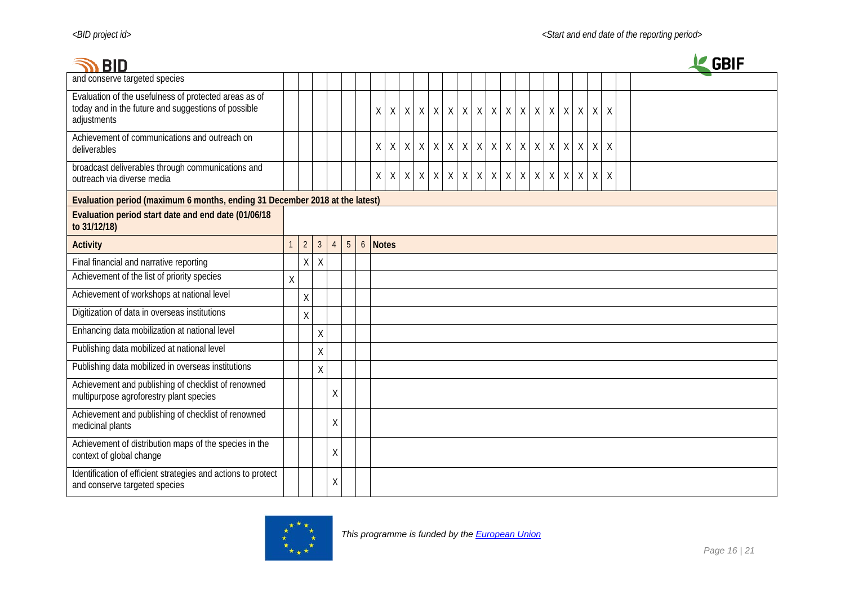| <b>BID</b>                                                                                                                  |                                                                             |                                                                                            |                         |   |  |  |             |                     |              |                 |   |        |         |              |              |                          |   |             |         |              |              |              |          |  |  | <b>GBIF</b> |  |  |
|-----------------------------------------------------------------------------------------------------------------------------|-----------------------------------------------------------------------------|--------------------------------------------------------------------------------------------|-------------------------|---|--|--|-------------|---------------------|--------------|-----------------|---|--------|---------|--------------|--------------|--------------------------|---|-------------|---------|--------------|--------------|--------------|----------|--|--|-------------|--|--|
| and conserve targeted species                                                                                               |                                                                             |                                                                                            |                         |   |  |  |             |                     |              |                 |   |        |         |              |              |                          |   |             |         |              |              |              |          |  |  |             |  |  |
| Evaluation of the usefulness of protected areas as of<br>today and in the future and suggestions of possible<br>adjustments |                                                                             |                                                                                            |                         |   |  |  | $\chi$      | $X$ $X$ $X$ $X$ $X$ |              |                 |   |        | X       | X            | X            |                          |   | $X$ $X$ $X$ | X       | $\chi$       | $\mathsf{X}$ | $\sf X$      | $\times$ |  |  |             |  |  |
| Achievement of communications and outreach on<br>deliverables                                                               |                                                                             |                                                                                            |                         |   |  |  | $\sf X$     | $\sf X$             | $\mathsf{X}$ | X               | X | $\chi$ | $\sf X$ | $\mathsf{X}$ | $\mathsf{X}$ | X                        | X | $\chi$      | X       | $\mathsf{X}$ | $\mathsf X$  | $\sf X$      | $\chi$   |  |  |             |  |  |
| broadcast deliverables through communications and<br>outreach via diverse media                                             |                                                                             |                                                                                            |                         |   |  |  | $\mathsf X$ | $\mathsf{X}$        |              | $X$ $X$ $X$ $X$ |   |        |         | $X$ $X$      |              | $x \mid x \mid x \mid x$ |   |             | $X$ $X$ |              | $\mathsf X$  | $\mathsf{X}$ | $\sf X$  |  |  |             |  |  |
|                                                                                                                             | Evaluation period (maximum 6 months, ending 31 December 2018 at the latest) |                                                                                            |                         |   |  |  |             |                     |              |                 |   |        |         |              |              |                          |   |             |         |              |              |              |          |  |  |             |  |  |
| Evaluation period start date and end date (01/06/18<br>to 31/12/18)                                                         |                                                                             |                                                                                            |                         |   |  |  |             |                     |              |                 |   |        |         |              |              |                          |   |             |         |              |              |              |          |  |  |             |  |  |
| <b>Activity</b>                                                                                                             |                                                                             | $5\phantom{.0}$<br>$\overline{2}$<br><b>Notes</b><br>$\overline{3}$<br>6 <sup>1</sup><br>4 |                         |   |  |  |             |                     |              |                 |   |        |         |              |              |                          |   |             |         |              |              |              |          |  |  |             |  |  |
| Final financial and narrative reporting                                                                                     |                                                                             | $\mathsf{X}$                                                                               | $\mathsf X$             |   |  |  |             |                     |              |                 |   |        |         |              |              |                          |   |             |         |              |              |              |          |  |  |             |  |  |
| Achievement of the list of priority species                                                                                 | X                                                                           |                                                                                            |                         |   |  |  |             |                     |              |                 |   |        |         |              |              |                          |   |             |         |              |              |              |          |  |  |             |  |  |
| Achievement of workshops at national level                                                                                  |                                                                             | X                                                                                          |                         |   |  |  |             |                     |              |                 |   |        |         |              |              |                          |   |             |         |              |              |              |          |  |  |             |  |  |
| Digitization of data in overseas institutions                                                                               |                                                                             | X                                                                                          |                         |   |  |  |             |                     |              |                 |   |        |         |              |              |                          |   |             |         |              |              |              |          |  |  |             |  |  |
| Enhancing data mobilization at national level                                                                               |                                                                             |                                                                                            | $\sf X$                 |   |  |  |             |                     |              |                 |   |        |         |              |              |                          |   |             |         |              |              |              |          |  |  |             |  |  |
| Publishing data mobilized at national level                                                                                 |                                                                             |                                                                                            | $\overline{\mathsf{X}}$ |   |  |  |             |                     |              |                 |   |        |         |              |              |                          |   |             |         |              |              |              |          |  |  |             |  |  |
| Publishing data mobilized in overseas institutions                                                                          |                                                                             |                                                                                            | Χ                       |   |  |  |             |                     |              |                 |   |        |         |              |              |                          |   |             |         |              |              |              |          |  |  |             |  |  |
| Achievement and publishing of checklist of renowned<br>multipurpose agroforestry plant species                              |                                                                             |                                                                                            |                         | Χ |  |  |             |                     |              |                 |   |        |         |              |              |                          |   |             |         |              |              |              |          |  |  |             |  |  |
| Achievement and publishing of checklist of renowned<br>medicinal plants                                                     |                                                                             |                                                                                            |                         | Χ |  |  |             |                     |              |                 |   |        |         |              |              |                          |   |             |         |              |              |              |          |  |  |             |  |  |
| Achievement of distribution maps of the species in the<br>context of global change                                          |                                                                             |                                                                                            |                         | Χ |  |  |             |                     |              |                 |   |        |         |              |              |                          |   |             |         |              |              |              |          |  |  |             |  |  |
| Identification of efficient strategies and actions to protect<br>and conserve targeted species                              |                                                                             |                                                                                            |                         | Χ |  |  |             |                     |              |                 |   |        |         |              |              |                          |   |             |         |              |              |              |          |  |  |             |  |  |

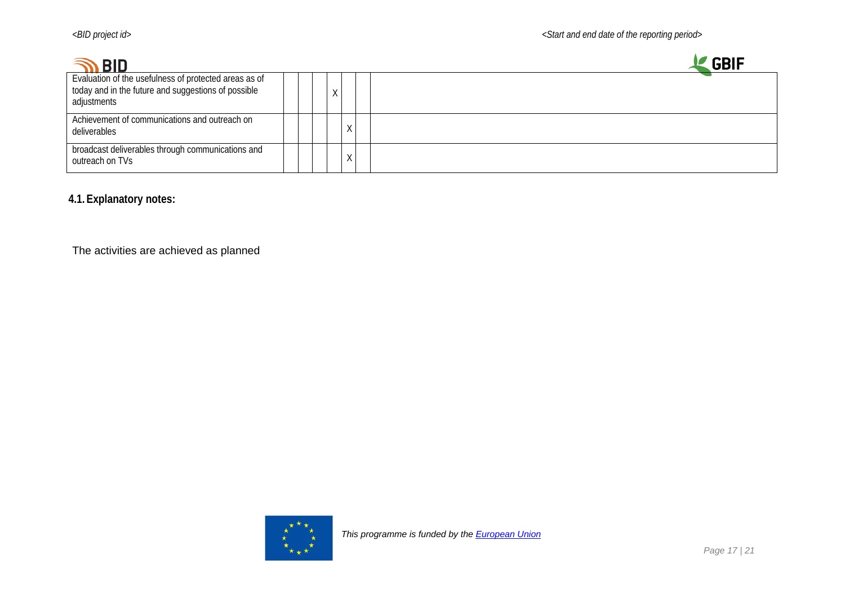| <b>BID</b>                                                                                                                  |   |   | GRI |
|-----------------------------------------------------------------------------------------------------------------------------|---|---|-----|
| Evaluation of the usefulness of protected areas as of<br>today and in the future and suggestions of possible<br>adjustments | Χ |   |     |
| Achievement of communications and outreach on<br>deliverables                                                               |   | χ |     |
| broadcast deliverables through communications and<br>outreach on TVs                                                        |   | χ |     |

**4.1.Explanatory notes:**

The activities are achieved as planned

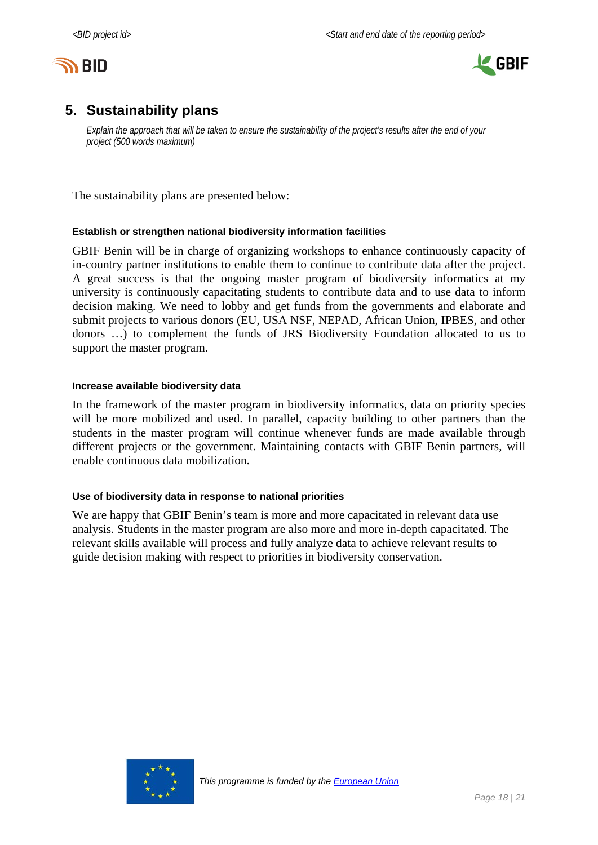



# <span id="page-17-0"></span>**5. Sustainability plans**

*Explain the approach that will be taken to ensure the sustainability of the project's results after the end of your project (500 words maximum)*

The sustainability plans are presented below:

### **Establish or strengthen national biodiversity information facilities**

GBIF Benin will be in charge of organizing workshops to enhance continuously capacity of in-country partner institutions to enable them to continue to contribute data after the project. A great success is that the ongoing master program of biodiversity informatics at my university is continuously capacitating students to contribute data and to use data to inform decision making. We need to lobby and get funds from the governments and elaborate and submit projects to various donors (EU, USA NSF, NEPAD, African Union, IPBES, and other donors …) to complement the funds of JRS Biodiversity Foundation allocated to us to support the master program.

#### **Increase available biodiversity data**

In the framework of the master program in biodiversity informatics, data on priority species will be more mobilized and used. In parallel, capacity building to other partners than the students in the master program will continue whenever funds are made available through different projects or the government. Maintaining contacts with GBIF Benin partners, will enable continuous data mobilization.

### **Use of biodiversity data in response to national priorities**

We are happy that GBIF Benin's team is more and more capacitated in relevant data use analysis. Students in the master program are also more and more in-depth capacitated. The relevant skills available will process and fully analyze data to achieve relevant results to guide decision making with respect to priorities in biodiversity conservation.

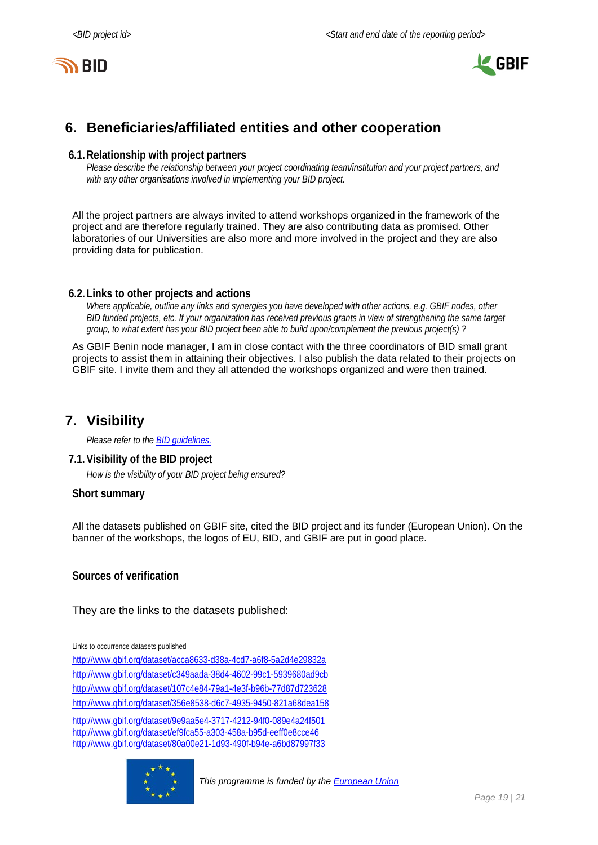



# <span id="page-18-0"></span>**6. Beneficiaries/affiliated entities and other cooperation**

#### **6.1.Relationship with project partners**

*Please describe the relationship between your project coordinating team/institution and your project partners, and with any other organisations involved in implementing your BID project.*

All the project partners are always invited to attend workshops organized in the framework of the project and are therefore regularly trained. They are also contributing data as promised. Other laboratories of our Universities are also more and more involved in the project and they are also providing data for publication.

### **6.2.Links to other projects and actions**

*Where applicable, outline any links and synergies you have developed with other actions, e.g. GBIF nodes, other BID funded projects, etc. If your organization has received previous grants in view of strengthening the same target group, to what extent has your BID project been able to build upon/complement the previous project(s) ?*

As GBIF Benin node manager, I am in close contact with the three coordinators of BID small grant projects to assist them in attaining their objectives. I also publish the data related to their projects on GBIF site. I invite them and they all attended the workshops organized and were then trained.

## <span id="page-18-1"></span>**7. Visibility**

*Please refer to th[e BID guidelines.](http://bid.gbif.org/en/community/communication-guidelines/)*

### **7.1.Visibility of the BID project**

*How is the visibility of your BID project being ensured?*

#### **Short summary**

All the datasets published on GBIF site, cited the BID project and its funder (European Union). On the banner of the workshops, the logos of EU, BID, and GBIF are put in good place.

**Sources of verification**

They are the links to the datasets published:

Links to occurrence datasets published

<http://www.gbif.org/dataset/acca8633-d38a-4cd7-a6f8-5a2d4e29832a> <http://www.gbif.org/dataset/c349aada-38d4-4602-99c1-5939680ad9cb> <http://www.gbif.org/dataset/107c4e84-79a1-4e3f-b96b-77d87d723628> <http://www.gbif.org/dataset/356e8538-d6c7-4935-9450-821a68dea158>

<http://www.gbif.org/dataset/9e9aa5e4-3717-4212-94f0-089e4a24f501> <http://www.gbif.org/dataset/ef9fca55-a303-458a-b95d-eeff0e8cce46> <http://www.gbif.org/dataset/80a00e21-1d93-490f-b94e-a6bd87997f33>

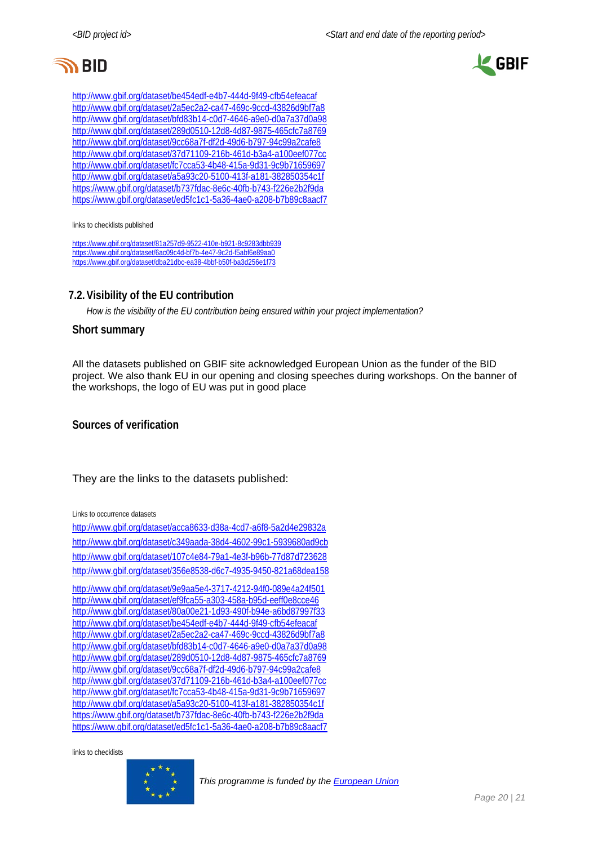



<http://www.gbif.org/dataset/be454edf-e4b7-444d-9f49-cfb54efeacaf> <http://www.gbif.org/dataset/2a5ec2a2-ca47-469c-9ccd-43826d9bf7a8> <http://www.gbif.org/dataset/bfd83b14-c0d7-4646-a9e0-d0a7a37d0a98> <http://www.gbif.org/dataset/289d0510-12d8-4d87-9875-465cfc7a8769> <http://www.gbif.org/dataset/9cc68a7f-df2d-49d6-b797-94c99a2cafe8> <http://www.gbif.org/dataset/37d71109-216b-461d-b3a4-a100eef077cc> http://www.gbif.org/dataset/fc7cca53-4b48-415a-9d31-9c9b71659697 http://www.gbif.org/dataset/a5a93c20-5100-413f-a181-382850354c1f <https://www.gbif.org/dataset/b737fdac-8e6c-40fb-b743-f226e2b2f9da> <https://www.gbif.org/dataset/ed5fc1c1-5a36-4ae0-a208-b7b89c8aacf7>

links to checklists published

<https://www.gbif.org/dataset/81a257d9-9522-410e-b921-8c9283dbb939> <https://www.gbif.org/dataset/6ac09c4d-bf7b-4e47-9c2d-f5abf6e89aa0> <https://www.gbif.org/dataset/dba21dbc-ea38-4bbf-b50f-ba3d256e1f73>

## **7.2.Visibility of the EU contribution**

*How is the visibility of the EU contribution being ensured within your project implementation?*

#### **Short summary**

All the datasets published on GBIF site acknowledged European Union as the funder of the BID project. We also thank EU in our opening and closing speeches during workshops. On the banner of the workshops, the logo of EU was put in good place

**Sources of verification**

They are the links to the datasets published:

Links to occurrence datasets

<http://www.gbif.org/dataset/acca8633-d38a-4cd7-a6f8-5a2d4e29832a> <http://www.gbif.org/dataset/c349aada-38d4-4602-99c1-5939680ad9cb> <http://www.gbif.org/dataset/107c4e84-79a1-4e3f-b96b-77d87d723628> <http://www.gbif.org/dataset/356e8538-d6c7-4935-9450-821a68dea158> <http://www.gbif.org/dataset/9e9aa5e4-3717-4212-94f0-089e4a24f501> <http://www.gbif.org/dataset/ef9fca55-a303-458a-b95d-eeff0e8cce46> <http://www.gbif.org/dataset/80a00e21-1d93-490f-b94e-a6bd87997f33> <http://www.gbif.org/dataset/be454edf-e4b7-444d-9f49-cfb54efeacaf> <http://www.gbif.org/dataset/2a5ec2a2-ca47-469c-9ccd-43826d9bf7a8> <http://www.gbif.org/dataset/bfd83b14-c0d7-4646-a9e0-d0a7a37d0a98> <http://www.gbif.org/dataset/289d0510-12d8-4d87-9875-465cfc7a8769> <http://www.gbif.org/dataset/9cc68a7f-df2d-49d6-b797-94c99a2cafe8> <http://www.gbif.org/dataset/37d71109-216b-461d-b3a4-a100eef077cc> http://www.gbif.org/dataset/fc7cca53-4b48-415a-9d31-9c9b71659697 http://www.gbif.org/dataset/a5a93c20-5100-413f-a181-382850354c1f <https://www.gbif.org/dataset/b737fdac-8e6c-40fb-b743-f226e2b2f9da> <https://www.gbif.org/dataset/ed5fc1c1-5a36-4ae0-a208-b7b89c8aacf7>

links to checklists